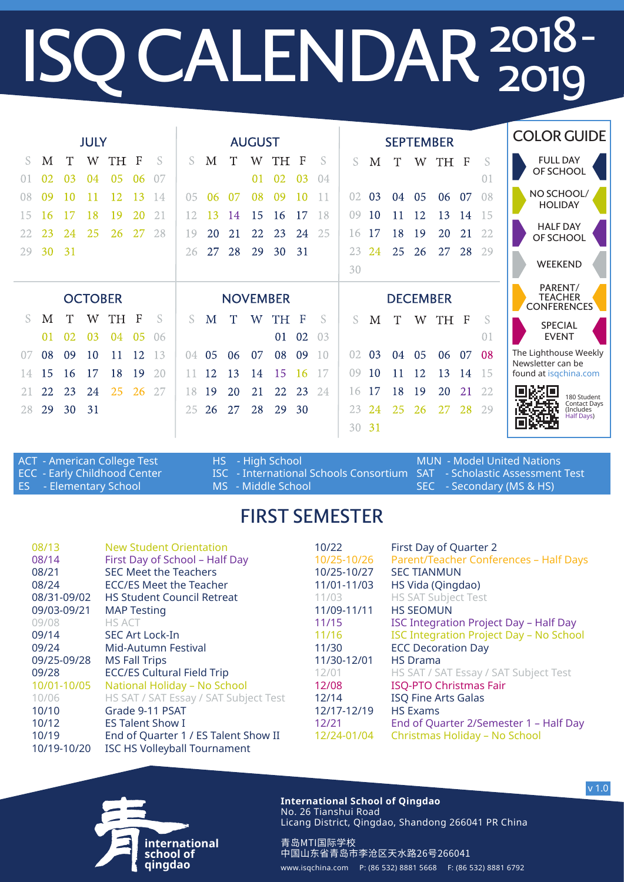## **ISQ CALENDAR**  $^{2018}_{2019}$ 2018 2019-

| <b>JULY</b>    |    |    |    |           |                 | <b>AUGUST</b> |                |    |    |    |                 |                 |                | <b>SEPTEMBER</b> |    |    |    |                                                 |     | <b>COLOR GUIDE</b> |                                               |
|----------------|----|----|----|-----------|-----------------|---------------|----------------|----|----|----|-----------------|-----------------|----------------|------------------|----|----|----|-------------------------------------------------|-----|--------------------|-----------------------------------------------|
| S.             | M  | T  | W  | <b>TH</b> | $\mathbf{F}$    | <b>S</b>      | S.             | M  | T  | W  | TH <sub>1</sub> | - F             | -S             | S.               | М  | T  | W  | TH F                                            |     | S                  | <b>FULL DAY</b><br>OF SCHOOL                  |
|                | 02 | 03 | 04 | 05        | 06              | -07           |                |    |    | 01 | 02              | 03              | -04            |                  |    |    |    |                                                 |     | 0 <sup>1</sup>     |                                               |
| 08             | 09 | 10 | 11 | 12        | 13              | 14            | 0 <sub>5</sub> | 06 | 07 | 08 | -09             | 10              |                | 02               | 03 | 04 | 05 | 06                                              | 07  | 08                 | NO SCHOOL/<br><b>HOLIDAY</b>                  |
| 15             | 16 |    | 18 | 19        | 20              | 21            | 12             | 13 | 14 | 15 | 16              | 17              | 18             | 09               | 10 | 11 | 12 | 13                                              | 14  | 15                 |                                               |
| 22             | 23 | 24 | 25 | 26        | 27              | 28            | 19             | 20 | 21 | 22 | 23              | 24              | 25             | 16               | 17 | 18 | 19 | 20                                              | 21  | 22                 | <b>HALF DAY</b><br>OF SCHOOL                  |
| 29             | 30 | 31 |    |           |                 |               | 26             | 27 | 28 | 29 | 30              | 31              |                | 23               | 24 | 25 | 26 | 27                                              | 28  | 29                 |                                               |
|                |    |    |    |           |                 |               |                |    |    |    |                 |                 |                | 30               |    |    |    |                                                 |     |                    | WEEKEND                                       |
| <b>OCTOBER</b> |    |    |    |           | <b>NOVEMBER</b> |               |                |    |    |    |                 | <b>DECEMBER</b> |                |                  |    |    |    | PARENT/<br><b>TEACHER</b><br><b>CONFERENCES</b> |     |                    |                                               |
| S.             | М  | Т  | W  | TH        | F               | S             | S.             | M  | T  | W  | TH              | F               | S              | S                | М  | T  | W  | TH F                                            |     | S                  | <b>SPECIAL</b>                                |
|                | 01 | 02 | 03 | 04        | 05              | 06            |                |    |    |    | 01              | 02              | 0 <sup>3</sup> |                  |    |    |    |                                                 |     | 01                 | <b>EVENT</b>                                  |
| 07             | 08 | 09 | 10 | 11        | 12              | 13            | (14)           | 05 | 06 | 07 | 08              | 09              | 10             | 02               | 03 | 04 | 05 | 06                                              | 07  | 08                 | The Lighthouse Weekly<br>Newsletter can be    |
| 14             | 15 | 16 | 17 | 18        | 19              | 20            |                | 12 | 13 | 14 | 15              | <sup>16</sup>   | 17             | ()9              | 10 | 11 | 12 | 13                                              | -14 | -15                | found at isgchina.com                         |
|                | 22 | 23 | 24 | 25        | 26              | 27            | 18             | 19 | 20 | 21 | 22              | 23              | 24             | 16               | 17 | 18 | 19 | 20                                              | 21  | 22                 | 国资道<br>180 Student                            |
| 28             | 29 | 30 | 31 |           |                 |               | 25             | 26 | 27 | 28 | 29              | 30              |                | 23               | 24 | 25 | 26 | 27                                              | 28  | 29                 | 夜話<br>Contact Days<br>(Includes<br>Half Days) |
|                |    |    |    |           |                 |               |                |    |    |    |                 |                 |                | 30               | 31 |    |    |                                                 |     |                    |                                               |

ACT - American College Test ECC - Early Childhood Center ES - Elementary School HS - High School ISC - International Schools Consortium SAT - Scholastic Assessment Test MS - Middle School MUN - Model United Nations SEC - Secondary (MS & HS)

## FIRST SEMESTER

| 08/13<br><b>New Student Orientation</b><br>First Day of School - Half Day<br>08/14<br><b>SEC Meet the Teachers</b><br>08/21<br>08/24<br>ECC/ES Meet the Teacher<br><b>HS Student Council Retreat</b><br>08/31-09/02<br>09/03-09/21<br><b>MAP Testing</b><br>09/08<br><b>HS ACT</b><br><b>SEC Art Lock-In</b><br>09/14<br>09/24<br>Mid-Autumn Festival<br>09/25-09/28<br><b>MS Fall Trips</b><br><b>ECC/ES Cultural Field Trip</b><br>09/28<br>National Holiday - No School<br>10/01-10/05<br>HS SAT / SAT Essay / SAT Subject Test<br>10/06<br>Grade 9-11 PSAT<br>10/10<br><b>ES Talent Show I</b><br>10/12<br>End of Quarter 1 / ES Talent Show II<br>10/19<br><b>ISC HS Volleyball Tournament</b><br>10/19-10/20 | 10/22<br>10/25-10/26<br>10/25-10/27<br>11/01-11/03<br>11/03<br>11/09-11/11<br>11/15<br>11/16<br>11/30<br>11/30-12/01<br>12/01<br>12/08<br>12/14<br>12/17-12/19<br>12/21<br>12/24-01/04 | First Day of Quarter 2<br>Parent/Teacher Conferences - Half Days<br><b>SEC TIANMUN</b><br>HS Vida (Qingdao)<br><b>HS SAT Subject Test</b><br><b>HS SEOMUN</b><br><b>ISC Integration Project Day - Half Day</b><br><b>ISC Integration Project Day - No School</b><br><b>ECC Decoration Day</b><br><b>HS</b> Drama<br>HS SAT / SAT Essay / SAT Subject Test<br><b>ISQ-PTO Christmas Fair</b><br><b>ISQ Fine Arts Galas</b><br><b>HS Exams</b><br>End of Quarter 2/Semester 1 - Half Day<br>Christmas Holiday - No School |
|--------------------------------------------------------------------------------------------------------------------------------------------------------------------------------------------------------------------------------------------------------------------------------------------------------------------------------------------------------------------------------------------------------------------------------------------------------------------------------------------------------------------------------------------------------------------------------------------------------------------------------------------------------------------------------------------------------------------|----------------------------------------------------------------------------------------------------------------------------------------------------------------------------------------|------------------------------------------------------------------------------------------------------------------------------------------------------------------------------------------------------------------------------------------------------------------------------------------------------------------------------------------------------------------------------------------------------------------------------------------------------------------------------------------------------------------------|
|--------------------------------------------------------------------------------------------------------------------------------------------------------------------------------------------------------------------------------------------------------------------------------------------------------------------------------------------------------------------------------------------------------------------------------------------------------------------------------------------------------------------------------------------------------------------------------------------------------------------------------------------------------------------------------------------------------------------|----------------------------------------------------------------------------------------------------------------------------------------------------------------------------------------|------------------------------------------------------------------------------------------------------------------------------------------------------------------------------------------------------------------------------------------------------------------------------------------------------------------------------------------------------------------------------------------------------------------------------------------------------------------------------------------------------------------------|



**International School of Qingdao** No. 26 Tianshui Road Licang District, Qingdao, Shandong 266041 PR China

青岛MTI国际学校

中国山东省青岛市李沧区天水路26号266041 www.isqchina.com P: (86 532) 8881 5668 F: (86 532) 8881 6792